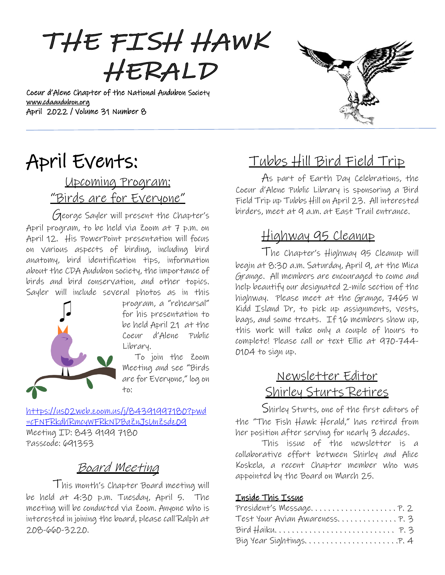THE FISH HAWK HERALD

Coeur d'Alene Chapter of the National Audubon Society [www.cdaaudubon.org](http://www.cdaaudubon.org/) April 2022 / Volume 31 Number 8

# **Contract Contract Contract Contract Contract Contract Contract Contract Contract Contract Contract Contract Co**

# April Events:

I

# Upcoming Program: "Birds are for Everyone"

George Sayler will present the Chapter's April program, to be held via Zoom at 7 p.m. on April 12. His PowerPoint presentation will focus on various aspects of birding, including bird anatomy, bird identification tips, information about the CDA Audubon society, the importance of birds and bird conservation, and other topics. Sayler will include several photos as in this



program, a "rehearsal" for his presentation to be held April 21 at the Coeur d'Alene Public Library.

 To join the Zoom Meeting and see "Birds are for Everyone," log on to:

[https://us02web.zoom.us/j/84391997180?pwd](https://us02web.zoom.us/j/84391997180?pwd=cFNFRkdhRmcyWFRkNDBqZnJsUnZsdz09) [=cFNFRkdhRmcyWFRkNDBqZnJsUnZsdz09](https://us02web.zoom.us/j/84391997180?pwd=cFNFRkdhRmcyWFRkNDBqZnJsUnZsdz09) Meeting ID: 843 9199 7180 Passcode: 691353

# Board Meeting

 This month's Chapter Board meeting will be held at 4:30 p.m. Tuesday, April 5. The meeting will be conducted via Zoom. Anyone who is interested in joining the board, please call Ralph at 208-660-3220.

# Tubbs Hill Bird Field Trip

As part of Earth Day Celebrations, the Coeur d'Alene Public Library is sponsoring a Bird Field Trip up Tubbs Hill on April 23. All interested birders, meet at 9 a.m. at East Trail entrance.

# Highway 95 Cleanup

The Chapter's Highway 95 Cleanup will begin at 8:30 a.m. Saturday, April 9, at the Mica Grange. All members are encouraged to come and help beautify our designated 2-mile section of the highway. Please meet at the Grange, 7465 W Kidd Island Dr, to pick up assignments, vests, bags, and some treats. If 16 members show up, this work will take only a couple of hours to complete! Please call or text Ellie at 970-744- 0104 to sign up.

# Newsletter Editor Shirley Sturts Retires

Shirley Sturts, one of the first editors of the "The Fish Hawk Herald," has retired from her position after serving for nearly 3 decades.

This issue of the newsletter is a collaborative effort between Shirley and Alice Koskela, a recent Chapter member who was appointed by the Board on March 25.

### Inside This Issue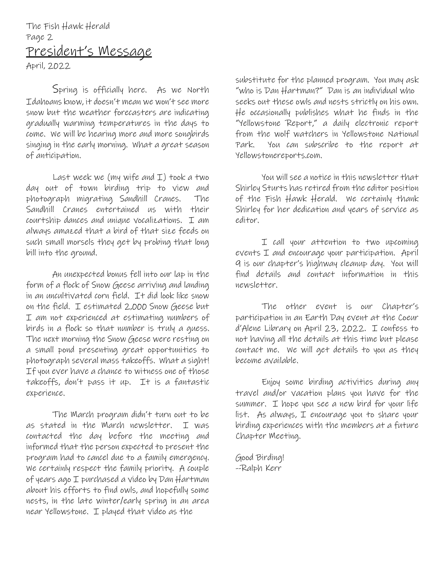# The Fish Hawk Herald Page 2 President's Message

April, 2022

Spring is officially here. As we North Idahoans know, it doesn't mean we won't see more snow but the weather forecasters are indicating gradually warming temperatures in the days to come. We will be hearing more and more songbirds singing in the early morning. What a great season of anticipation.

Last week we (my wife and  $I$ ) took a two day out of town birding trip to view and photograph migrating Sandhill Cranes. The Sandhill Cranes entertained us with their courtship dances and unique vocalizations. I am always amazed that a bird of that size feeds on such small morsels they get by probing that long bill into the ground.

An unexpected bonus fell into our lap in the form of a flock of Snow Geese arriving and landing in an uncultivated corn field. It did look like snow on the field. I estimated 2,000 Snow Geese but I am not experienced at estimating numbers of birds in a flock so that number is truly a guess. The next morning the Snow Geese were resting on a small pond presenting great opportunities to photograph several mass takeoffs. What a sight! If you ever have a chance to witness one of those takeoffs, don't pass it up. It is a fantastic experience.

The March program didn't turn out to be as stated in the March newsletter. I was contacted the day before the meeting and informed that the person expected to present the program had to cancel due to a family emergency. We certainly respect the family priority. A couple of years ago I purchased a video by Dan Hartman about his efforts to find owls, and hopefully some nests, in the late winter/early spring in an area near Yellowstone. I played that video as the

substitute for the planned program. You may ask "who is Dan Hartman?" Dan is an individual who seeks out these owls and nests strictly on his own. He occasionally publishes what he finds in the "Yellowstone Report," a daily electronic report from the wolf watchers in Yellowstone National Park. You can subscribe to the report at Yellowstonereports.com.

You will see a notice in this newsletter that Shirley Sturts has retired from the editor position of the Fish Hawk Herald. We certainly thank Shirley for her dedication and years of service as editor.

I call your attention to two upcoming events I and encourage your participation. April 9 is our chapter's highway cleanup day. You will find details and contact information in this newsletter.

The other event is our Chapter's participation in an Earth Day event at the Coeur d'Alene Library on April 23, 2022. I confess to not having all the details at this time but please contact me. We will get details to you as they become available.

Enjoy some birding activities during any travel and/or vacation plans you have for the summer. I hope you see a new bird for your life list. As always, I encourage you to share your birding experiences with the members at a future Chapter Meeting.

Good Birding! --Ralph Kerr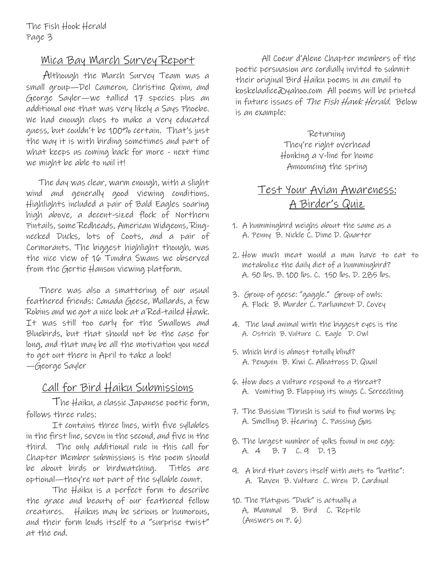## Mica Bay March Survey Report

 Although the March Survey Team was a small group—Del Cameron, Christine Quinn, and George Sayler—we tallied 17 species plus an additional one that was very likely a Says Phoebe. We had enough clues to make a very educated guess, but couldn't be 100% certain. That's just the way it is with birding sometimes and part of what keeps us coming back for more - next time we might be able to nail it!

 The day was clear, warm enough, with a slight wind and generally good viewing conditions. Highlights included a pair of Bald Eagles soaring high above, a decent-sized flock of Northern Pintails, some Redheads, American Widgeons, Ringnecked Ducks, lots of Coots, and a pair of Cormorants. The biggest highlight though, was the nice view of 16 Tundra Swans we observed from the Gertie Hanson viewing platform.

There was also a smattering of our usual feathered friends: Canada Geese, Mallards, a few Robins and we got a nice look at a Red-tailed Hawk. It was still too early for the Swallows and Bluebirds, but that should not be the case for long, and that may be all the motivation you need to get out there in April to take a look! —George Sayler

### Call for Bird Haiku Submissions

The Haiku, a classic Japanese poetic form, follows three rules:

It contains three lines, with five syllables in the first line, seven in the second, and five in the third. The only additional rule in this call for Chapter Member submissions is the poem should be about birds or birdwatching. Titles are optional—they're not part of the syllable count.

The Haiku is a perfect form to describe the grace and beauty of our feathered fellow creatures. Haikus may be serious or humorous, and their form lends itself to a "surprise twist" at the end.

All Coeur d'Alene Chapter members of the poetic persuasion are cordially invited to submit their original Bird Haiku poems in an email to koskelaalice@yahoo.com All poems will be printed in future issues of The Fish Hawk Herald. Below is an example:

> Returning They're right overhead Honking a v-line for home Announcing the spring

## Test Your Avian Awareness: A Birder's Quiz

- 1. A hummingbird weighs about the same as a A. Penny B. Nickle C. Dime D. Quarter
- 2. How much meat would a man have to eat to metabolize the daily diet of a hummingbird? A. 50 lbs. B. 100 lbs. C. 150 lbs. D. 285 lbs.
- 3. Group of geese: "gaggle." Group of owls: A. Flock B. Murder C. Parliament D. Covey
- 4. The land animal with the biggest eyes is the A. Ostrich B. Vulture C. Eagle D. Owl
- 5. Which bird is almost totally blind? A. Penguin B. Kiwi C. Albatross D. Quail
- 6. How does a vulture respond to a threat? A. Vomiting B. Flapping its wings C. Screeching
- 7. The Bassian Thrush is said to find worms by: A. Smelling B. Hearing C. Passing Gas
- 8. The largest number of yolks found in one egg: A. 4 B. 7 C. 9 D. 13
- 9. A bird that covers itself with ants to "bathe": A. Raven B. Vulture C. Wren D. Cardinal
- 10. The Platypus "Duck" is actually a A, Mammal B. Bird C. Reptile (Answers on P. 6)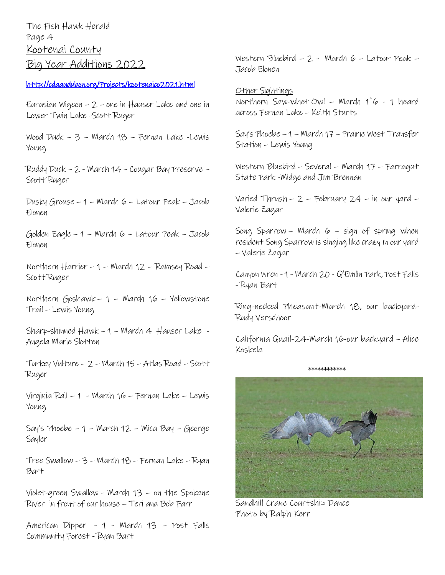The Fish Hawk Herald Page 4 Kootenai County Big Year Additions 2022

### <http://cdaaudubon.org/Projects/kootenaico2021.html>

Eurasian Wigeon – 2 – one in Hauser Lake and one in Lower Twin Lake -Scott Ruger

Wood Duck – 3 – March 18 – Fernan Lake -Lewis Young

Ruddy Duck – 2 - March 14 – Cougar Bay Preserve – Scott Ruger

Dusky Grouse – 1 – March 6 – Latour Peak – Jacob Elonen

Golden Eagle – 1 – March 6 – Latour Peak – Jacob Elonen

Northern Harrier – 1 – March 12 – Ramsey Road – Scott Ruger

Northern Goshawk – 1 – March 16 – Yellowstone Trail – Lewis Young

Sharp-shinned Hawk – 1 – March 4 Hauser Lake - Angela Marie Slotten

Turkey Vulture – 2 – March 15 – Atlas Road – Scott Ruger

 $Virginia$  Rail – 1 - March 16 – Fernan Lake – Lewis Young

Say's Phoebe  $-1$  – March  $12$  – Mica Bay – George Sayler

Tree Swallow – 3 – March 18 – Fernan Lake – Ryan Bart

Violet-green Swallow - March 13 – on the Spokane River in front of our house – Teri and Bob Farr

American Dipper - 1 - March 13 – Post Falls Community Forest - Ryan Bart

Western Bluebird – 2 - March  $6 -$  Latour Peak – Jacob Elonen

Other Sightings Northern Saw-whet Owl – March 1`6 - 1 heard across Fernan Lake – Keith Sturts

Say's Phoebe – 1 – March 17 – Prairie West Transfer Station – Lewis Young

Western Bluebird – Several – March 17 – Farragut State Park -Midge and Jim Brennan

Varied Thrush – 2 – February 24 – in our yard – Valerie Zagar

Song Sparrow – March  $6 -$  sign of spring when resident Song Sparrow is singing like crazy in our yard – Valerie Zagar

Canyon Wren - 1 - March 20 - Q'Emlin Park, Post Falls - Ryan Bart

Ring-necked Pheasant-March 18, our backyard-Rudy Verschoor

California Quail-24-March 16-our backyard – Alice Koskela

\*\*\*\*\*\*\*\*\*\*\*\*

Sandhill Crane Courtship Dance Photo by Ralph Kerr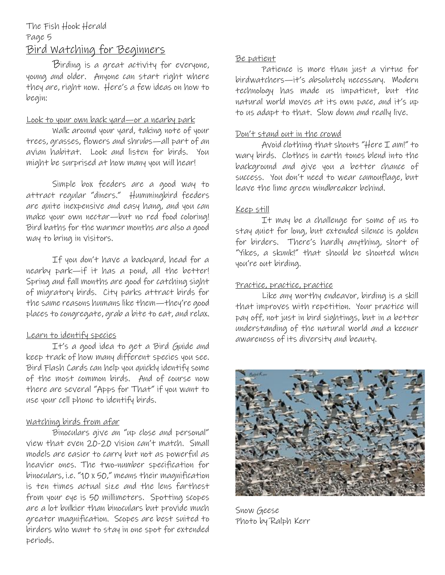### The Fish Hook Herald Page 5 Bird Watching for Beginners

Birding is a great activity for everyone, young and older. Anyone can start right where they are, right now. Here's a few ideas on how to begin:

### Look to your own back yard—or a nearby park

Walk around your yard, taking note of your trees, grasses, flowers and shrubs—all part of an avian habitat. Look and listen for birds. You might be surprised at how many you will hear!

Simple box feeders are a good way to attract regular "diners." Hummingbird feeders are quite inexpensive and easy hang, and you can make your own nectar—but no red food coloring! Bird baths for the warmer months are also a good way to bring in visitors.

If you don't have a backyard, head for a nearby park—if it has a pond, all the better! Spring and fall months are good for catching sight of migratory birds. City parks attract birds for the same reasons humans like them—they're good places to congregate, grab a bite to eat, and relax.

### Learn to identify species

It's a good idea to get a Bird Guide and keep track of how many different species you see. Bird Flash Cards can help you quickly identify some of the most common birds. And of course now there are several "Apps for That" if you want to use your cell phone to identify birds.

### Watching birds from afar

Binoculars give an "up close and personal" view that even 20-20 vision can't match. Small models are easier to carry but not as powerful as heavier ones. The two-number specification for binoculars, i.e. "10 x 50," means their magnification is ten times actual size and the lens farthest from your eye is 50 millimeters. Spotting scopes are a lot bulkier than binoculars but provide much greater magnification. Scopes are best suited to birders who want to stay in one spot for extended periods.

### Be patient

Patience is more than just a virtue for birdwatchers—it's absolutely necessary. Modern technology has made us impatient, but the natural world moves at its own pace, and it's up to us adapt to that. Slow down and really live.

### Don't stand out in the crowd

Avoid clothing that shouts "Here I am!" to wary birds. Clothes in earth tones blend into the background and give you a better chance of success. You don't need to wear camouflage, but leave the lime green windbreaker behind.

### Keep still

It may be a challenge for some of us to stay quiet for long, but extended silence is golden for birders. There's hardly anything, short of "Yikes, a skunk!" that should be shouted when you're out birding.

### Practice, practice, practice

Like any worthy endeavor, birding is a skill that improves with repetition. Your practice will pay off, not just in bird sightings, but in a better understanding of the natural world and a keener awareness of its diversity and beauty.



Snow Geese Photo by Ralph Kerr